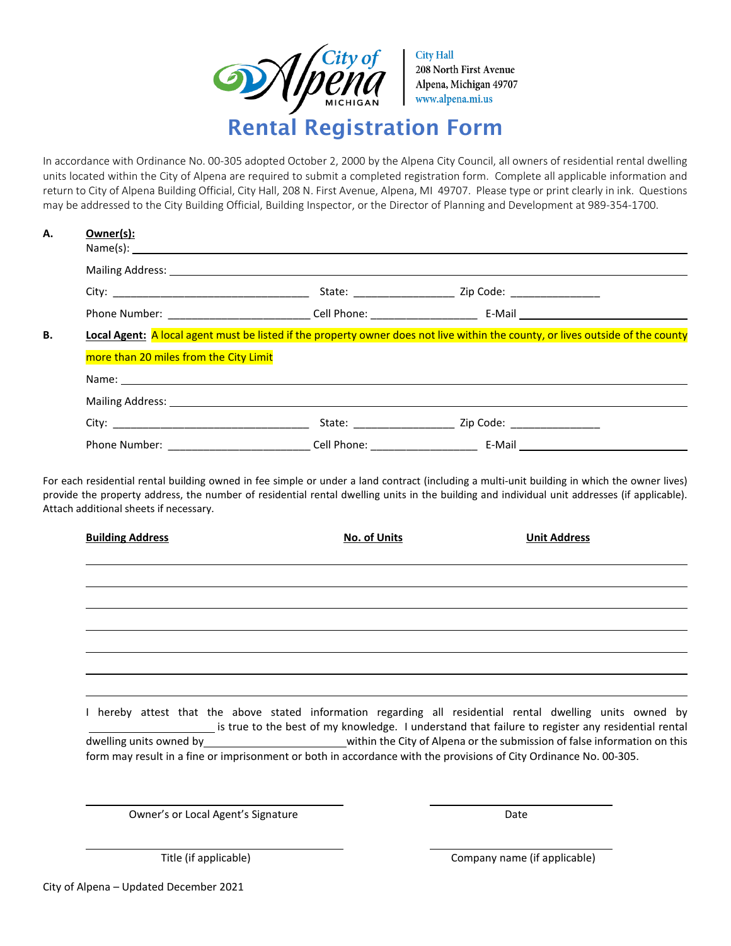

In accordance with Ordinance No. 00-305 adopted October 2, 2000 by the Alpena City Council, all owners of residential rental dwelling units located within the City of Alpena are required to submit a completed registration form. Complete all applicable information and return to City of Alpena Building Official, City Hall, 208 N. First Avenue, Alpena, MI 49707. Please type or print clearly in ink. Questions may be addressed to the City Building Official, Building Inspector, or the Director of Planning and Development at 989-354-1700.

| А. | Owner(s):         |
|----|-------------------|
|    | $N = m \cdot (c)$ |

|                                                                                                                                                                                                                               | State:                                                                                                                                                                                                                        | Zip Code: _______________             |
|-------------------------------------------------------------------------------------------------------------------------------------------------------------------------------------------------------------------------------|-------------------------------------------------------------------------------------------------------------------------------------------------------------------------------------------------------------------------------|---------------------------------------|
| Phone Number: The contract of the contract of the contract of the contract of the contract of the contract of the contract of the contract of the contract of the contract of the contract of the contract of the contract of | Cell Phone: the control of the control of the control of the control of the control of the control of the control of the control of the control of the control of the control of the control of the control of the control of | E-Mail <u>_______________________</u> |

| more than 20 miles from the City Limit |  |  |
|----------------------------------------|--|--|
| Name:                                  |  |  |
| Mailing Address:                       |  |  |

| City:<br>_____    | State:             | Zip<br>∴nde<br>- Cuc<br>___<br>______<br>________ |
|-------------------|--------------------|---------------------------------------------------|
| Phone<br>. Number | יי<br>ااه<br>none. | E-Mail<br>$\sim$                                  |

For each residential rental building owned in fee simple or under a land contract (including a multi-unit building in which the owner lives) provide the property address, the number of residential rental dwelling units in the building and individual unit addresses (if applicable). Attach additional sheets if necessary.

| <b>Building Address</b> | <b>No. of Units</b>                                                                                                                                                                                             | <b>Unit Address</b> |
|-------------------------|-----------------------------------------------------------------------------------------------------------------------------------------------------------------------------------------------------------------|---------------------|
|                         |                                                                                                                                                                                                                 |                     |
|                         |                                                                                                                                                                                                                 |                     |
|                         |                                                                                                                                                                                                                 |                     |
|                         |                                                                                                                                                                                                                 |                     |
|                         |                                                                                                                                                                                                                 |                     |
|                         | I hereby attest that the above stated information regarding all residential rental dwelling units owned by<br>is true to the best of my knowledge. I understand that failure to register any residential rental |                     |
|                         | dwelling units owned by example and the comparison of false information on this<br>form may result in a fine or imprisonment or both in accordance with the provisions of City Ordinance No. 00-305.            |                     |

Owner's or Local Agent's Signature data and the Date Date

Title (if applicable) Company name (if applicable)

City of Alpena – Updated December 2021